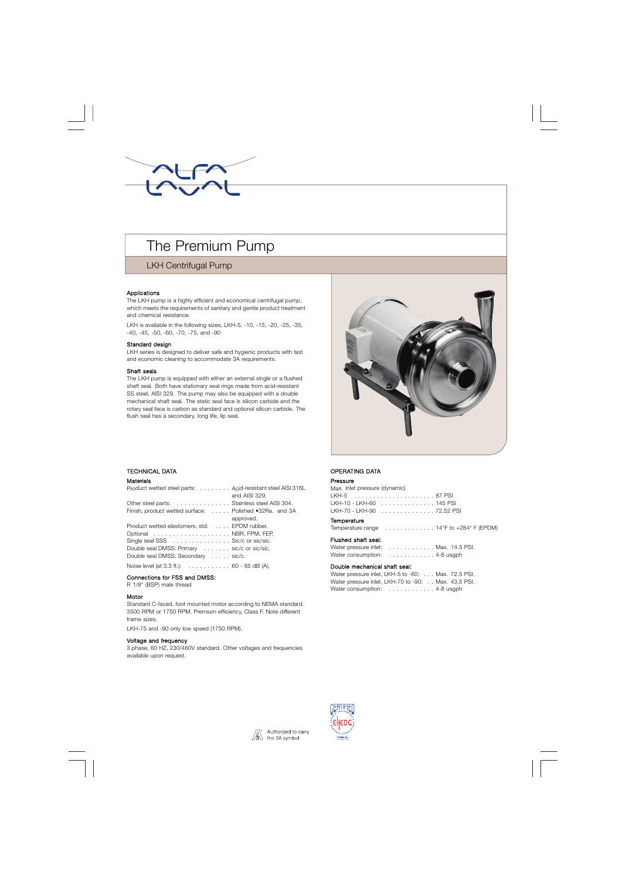

# The Premium Pump

# LKH Centrifugal Pump

#### Applications

The LKH pump is a highly efficient and economical centrifugal pump, which meets the requirements of sanitary and gentle product treatment and chemical resistance.

LKH is available in the following sizes, LKH-5, -10, -15, -20, -25, -35, -40, -45, -50, -60, -70, -75, and -90

#### Standard design

LKH series is designed to deliver safe and hygienic products with fast and economic cleaning to accommodate 3A requirements.

#### Shaft seals

The LKH pump is equipped with either an external single or a flushed shaft seal. Both have stationary seal rings made from acid-resistant SS steel, AISI 329. The pump may also be equipped with a double mechanical shaft seal. The static seal face is silicon carbide and the rotary seal face is carbon as standard and optional silicon carbide. The flush seal has a secondary, long life, lip seal.



## . TECHNICAL DATA

#### Materials

| Product wetted steel parts: Acid-resistant steel AISI 316L         | and AISI 329. |
|--------------------------------------------------------------------|---------------|
| Other steel parts:  Stainless steel AISI 304.                      |               |
| Finish, product wetted surface: Polished •32Ra. and 3A             |               |
|                                                                    | approved.     |
| Product wetted elastomers, std: EPDM rubber.                       |               |
| Optional  NBR, FPM, FEP.                                           |               |
| Single seal SSS Sic/c or sic/sic.                                  |               |
| Double seal DMSS: Primary sic/c or sic/sic.                        |               |
| Double seal DMSS: Secondary sic/c.                                 |               |
| Noise level (at $3.3$ ft.): $\ldots \ldots \ldots 60 - 85$ dB (A). |               |
|                                                                    |               |

#### Connections for FSS and DMSS:

R 1/8" (BSP) male thread

#### Motor

Standard C-faced, foot mounted motor according to NEMA standard. 3500 RPM or 1750 RPM. Premium efficiency, Class F. Note different frame sizes.

LKH-75 and -90 only low speed (1750 RPM).

#### Voltage and frequency

3 phase, 60 HZ, 230/460V standard. Other voltages and frequencies available upon request.

## OPERATING DATA

#### Pressure

| Max. inlet pressure (dynamic) |                           |  |
|-------------------------------|---------------------------|--|
|                               |                           |  |
|                               | LKH-10 - LKH-60 145 PSI   |  |
|                               | LKH-70 - LKH-90 72.52 PSI |  |

#### **Temperature**

Temperature range . . . . . . . . . . . . . 14°F to +284° F (EPDM)

| Flushed shaft seal: |                                                            |
|---------------------|------------------------------------------------------------|
|                     | Water pressure inlet: Max. 14.5 PSI.                       |
|                     | Water consumption: $\ldots \ldots \ldots \ldots$ 4-8 usgph |

#### Double mechanical shaft seal:

| Water pressure inlet, LKH-5 to -60: Max. 72.5 PSI.  |  |
|-----------------------------------------------------|--|
| Water pressure inlet, LKH-70 to -90: Max. 43.5 PSI. |  |
| Water consumption:  4-8 usgph                       |  |



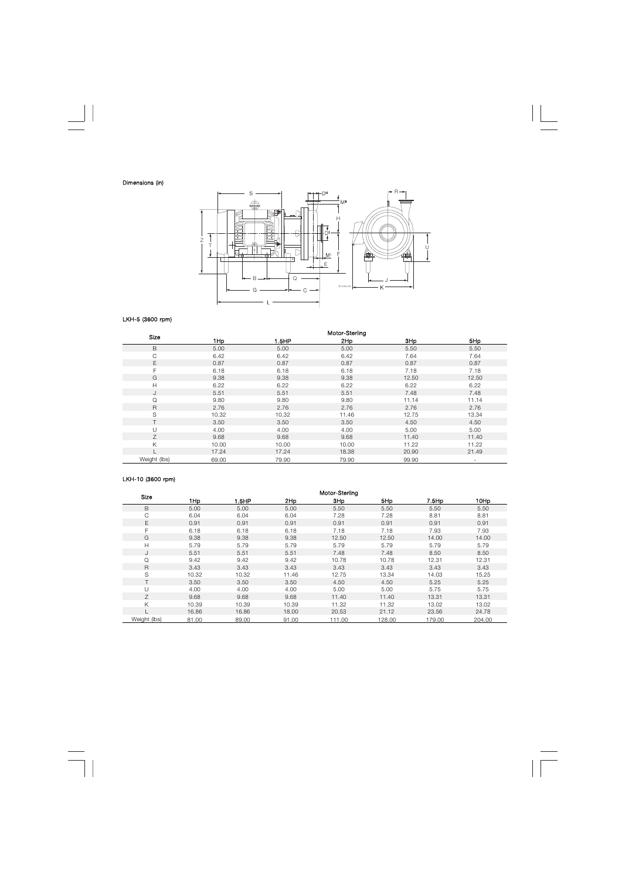

## LKH-5 (3600 rpm)

| Size         | Motor-Sterling |       |       |       |                          |  |  |  |  |
|--------------|----------------|-------|-------|-------|--------------------------|--|--|--|--|
|              | 1Hp            | 1.5HP | 2Hp   | 3Hp   | 5Hp                      |  |  |  |  |
| B            | 5.00           | 5.00  | 5.00  | 5.50  | 5.50                     |  |  |  |  |
| $\mathsf C$  | 6.42           | 6.42  | 6.42  | 7.64  | 7.64                     |  |  |  |  |
| E            | 0.87           | 0.87  | 0.87  | 0.87  | 0.87                     |  |  |  |  |
| F            | 6.18           | 6.18  | 6.18  | 7.18  | 7.18                     |  |  |  |  |
| G            | 9.38           | 9.38  | 9.38  | 12.50 | 12.50                    |  |  |  |  |
| H            | 6.22           | 6.22  | 6.22  | 6.22  | 6.22                     |  |  |  |  |
| J            | 5.51           | 5.51  | 5.51  | 7.48  | 7.48                     |  |  |  |  |
| Q            | 9.80           | 9.80  | 9.80  | 11.14 | 11.14                    |  |  |  |  |
| R            | 2.76           | 2.76  | 2.76  | 2.76  | 2.76                     |  |  |  |  |
| S            | 10.32          | 10.32 | 11.46 | 12.75 | 13.34                    |  |  |  |  |
|              | 3.50           | 3.50  | 3.50  | 4.50  | 4.50                     |  |  |  |  |
| U            | 4.00           | 4.00  | 4.00  | 5.00  | 5.00                     |  |  |  |  |
| Ζ            | 9.68           | 9.68  | 9.68  | 11.40 | 11.40                    |  |  |  |  |
| Κ            | 10.00          | 10.00 | 10.00 | 11.22 | 11.22                    |  |  |  |  |
|              | 17.24          | 17.24 | 18.38 | 20.90 | 21.49                    |  |  |  |  |
| Weight (lbs) | 69.00          | 79.90 | 79.90 | 99.90 | $\overline{\phantom{a}}$ |  |  |  |  |

# LKH-10 (3600 rpm)

| Size         | Motor-Sterling |       |       |                 |        |        |        |  |  |  |  |
|--------------|----------------|-------|-------|-----------------|--------|--------|--------|--|--|--|--|
|              | 1Hp            | 1.5HP | 2Hp   | 3H <sub>p</sub> | 5Hp    | 7.5Hp  | 10Hp   |  |  |  |  |
| B            | 5.00           | 5.00  | 5.00  | 5.50            | 5.50   | 5.50   | 5.50   |  |  |  |  |
| С            | 6.04           | 6.04  | 6.04  | 7.28            | 7.28   | 8.81   | 8.81   |  |  |  |  |
| Е            | 0.91           | 0.91  | 0.91  | 0.91            | 0.91   | 0.91   | 0.91   |  |  |  |  |
| F            | 6.18           | 6.18  | 6.18  | 7.18            | 7.18   | 7.93   | 7.93   |  |  |  |  |
| G            | 9.38           | 9.38  | 9.38  | 12.50           | 12.50  | 14.00  | 14.00  |  |  |  |  |
| Н            | 5.79           | 5.79  | 5.79  | 5.79            | 5.79   | 5.79   | 5.79   |  |  |  |  |
| J            | 5.51           | 5.51  | 5.51  | 7.48            | 7.48   | 8.50   | 8.50   |  |  |  |  |
| Q            | 9.42           | 9.42  | 9.42  | 10.78           | 10.78  | 12.31  | 12.31  |  |  |  |  |
| R            | 3.43           | 3.43  | 3.43  | 3.43            | 3.43   | 3.43   | 3.43   |  |  |  |  |
| S            | 10.32          | 10.32 | 11.46 | 12.75           | 13.34  | 14.03  | 15.25  |  |  |  |  |
|              | 3.50           | 3.50  | 3.50  | 4.50            | 4.50   | 5.25   | 5.25   |  |  |  |  |
|              | 4.00           | 4.00  | 4.00  | 5.00            | 5.00   | 5.75   | 5.75   |  |  |  |  |
| Ζ            | 9.68           | 9.68  | 9.68  | 11.40           | 11.40  | 13.31  | 13.31  |  |  |  |  |
| Κ            | 10.39          | 10.39 | 10.39 | 11.32           | 11.32  | 13.02  | 13.02  |  |  |  |  |
|              | 16.86          | 16.86 | 18.00 | 20.53           | 21.12  | 23.56  | 24.78  |  |  |  |  |
| Weight (lbs) | 81.00          | 89.00 | 91.00 | 111.00          | 128.00 | 179.00 | 204.00 |  |  |  |  |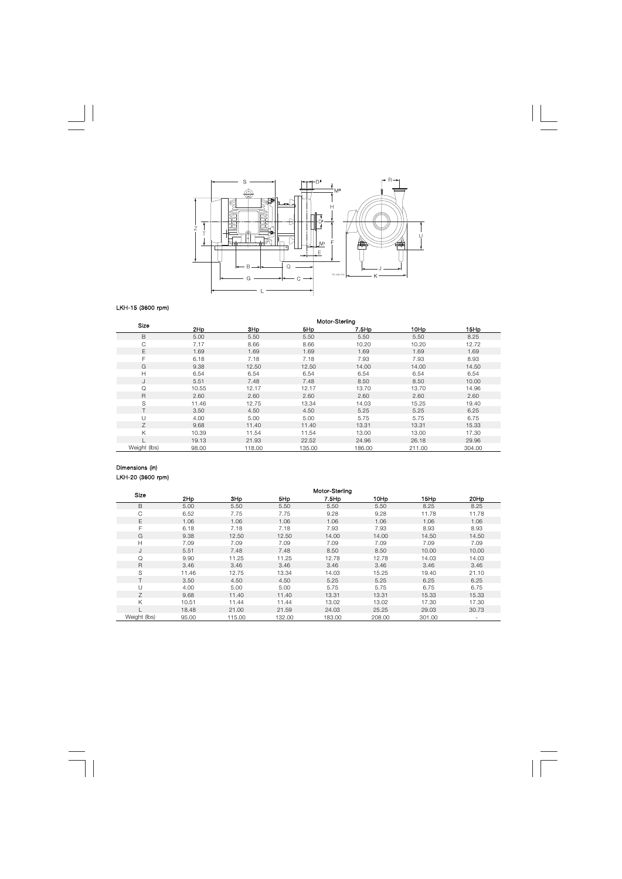

## LKH-15 (3600 rpm)

| <b>Size</b>  |       | Motor-Sterling  |        |          |        |        |  |  |  |  |  |
|--------------|-------|-----------------|--------|----------|--------|--------|--|--|--|--|--|
|              | 2Hp   | 3H <sub>p</sub> | 5Hp    | $7.5$ Hp | 10Hp   | 15Hp   |  |  |  |  |  |
| B            | 5.00  | 5.50            | 5.50   | 5.50     | 5.50   | 8.25   |  |  |  |  |  |
| С            | 7.17  | 8.66            | 8.66   | 10.20    | 10.20  | 12.72  |  |  |  |  |  |
| E            | 1.69  | 1.69            | 1.69   | 1.69     | 1.69   | 1.69   |  |  |  |  |  |
| F            | 6.18  | 7.18            | 7.18   | 7.93     | 7.93   | 8.93   |  |  |  |  |  |
| G            | 9.38  | 12.50           | 12.50  | 14.00    | 14.00  | 14.50  |  |  |  |  |  |
| Н            | 6.54  | 6.54            | 6.54   | 6.54     | 6.54   | 6.54   |  |  |  |  |  |
| J            | 5.51  | 7.48            | 7.48   | 8.50     | 8.50   | 10.00  |  |  |  |  |  |
| Q            | 10.55 | 12.17           | 12.17  | 13.70    | 13.70  | 14.96  |  |  |  |  |  |
| R            | 2.60  | 2.60            | 2.60   | 2.60     | 2.60   | 2.60   |  |  |  |  |  |
| S            | 11.46 | 12.75           | 13.34  | 14.03    | 15.25  | 19.40  |  |  |  |  |  |
|              | 3.50  | 4.50            | 4.50   | 5.25     | 5.25   | 6.25   |  |  |  |  |  |
| U            | 4.00  | 5.00            | 5.00   | 5.75     | 5.75   | 6.75   |  |  |  |  |  |
| Z            | 9.68  | 11.40           | 11.40  | 13.31    | 13.31  | 15.33  |  |  |  |  |  |
| K            | 10.39 | 11.54           | 11.54  | 13.00    | 13.00  | 17.30  |  |  |  |  |  |
|              | 19.13 | 21.93           | 22.52  | 24.96    | 26.18  | 29.96  |  |  |  |  |  |
| Weight (lbs) | 98.00 | 118.00          | 135.00 | 186.00   | 211.00 | 304.00 |  |  |  |  |  |

## Dimensions (in) LKH-20 (3600 rpm)

| Size         | Motor-Sterling |        |        |        |        |        |       |  |  |  |  |
|--------------|----------------|--------|--------|--------|--------|--------|-------|--|--|--|--|
|              | 2Hp            | 3Hp    | 5Hp    | 7.5Hp  | 10Hp   | 15Hp   | 20Hp  |  |  |  |  |
| B            | 5.00           | 5.50   | 5.50   | 5.50   | 5.50   | 8.25   | 8.25  |  |  |  |  |
| C            | 6.52           | 7.75   | 7.75   | 9.28   | 9.28   | 11.78  | 11.78 |  |  |  |  |
| E            | 1.06           | 1.06   | 1.06   | 1.06   | 1.06   | 1.06   | 1.06  |  |  |  |  |
| F            | 6.18           | 7.18   | 7.18   | 7.93   | 7.93   | 8.93   | 8.93  |  |  |  |  |
| G            | 9.38           | 12.50  | 12.50  | 14.00  | 14.00  | 14.50  | 14.50 |  |  |  |  |
| H            | 7.09           | 7.09   | 7.09   | 7.09   | 7.09   | 7.09   | 7.09  |  |  |  |  |
| J            | 5.51           | 7.48   | 7.48   | 8.50   | 8.50   | 10.00  | 10.00 |  |  |  |  |
| Q            | 9.90           | 11.25  | 11.25  | 12.78  | 12.78  | 14.03  | 14.03 |  |  |  |  |
| R            | 3.46           | 3.46   | 3.46   | 3.46   | 3.46   | 3.46   | 3.46  |  |  |  |  |
| S            | 11.46          | 12.75  | 13.34  | 14.03  | 15.25  | 19.40  | 21.10 |  |  |  |  |
| ┯            | 3.50           | 4.50   | 4.50   | 5.25   | 5.25   | 6.25   | 6.25  |  |  |  |  |
| U            | 4.00           | 5.00   | 5.00   | 5.75   | 5.75   | 6.75   | 6.75  |  |  |  |  |
| Ζ            | 9.68           | 11.40  | 11.40  | 13.31  | 13.31  | 15.33  | 15.33 |  |  |  |  |
| K            | 10.51          | 11.44  | 11.44  | 13.02  | 13.02  | 17.30  | 17.30 |  |  |  |  |
|              | 18.48          | 21.00  | 21.59  | 24.03  | 25.25  | 29.03  | 30.73 |  |  |  |  |
| Weight (lbs) | 95.00          | 115.00 | 132.00 | 183.00 | 208.00 | 301.00 |       |  |  |  |  |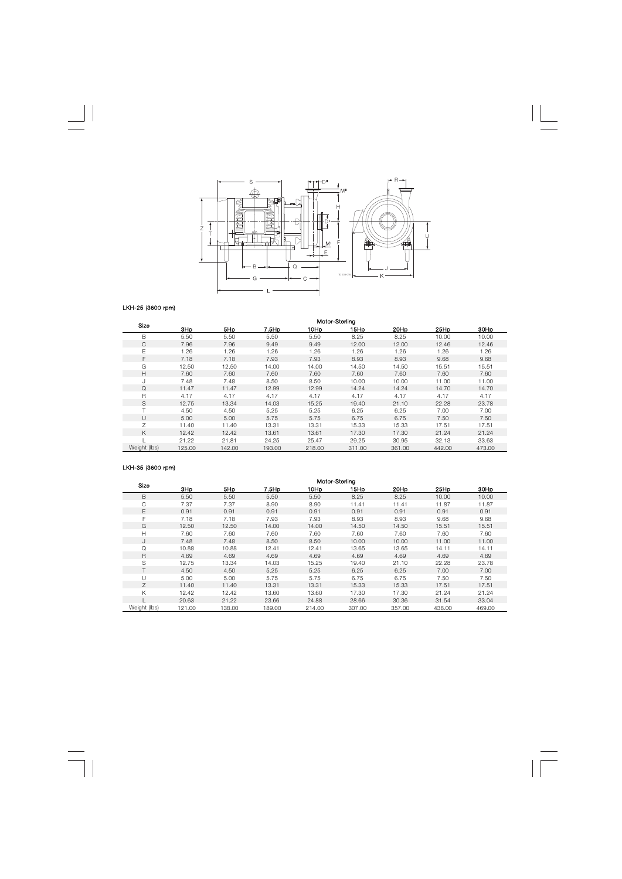

## LKH-25 (3600 rpm)

|                | Motor-Sterling |        |        |        |        |        |        |        |  |  |
|----------------|----------------|--------|--------|--------|--------|--------|--------|--------|--|--|
| Size           | 3Hp            | 5Hp    | 7.5Hp  | 10Hp   | 15Hp   | 20Hp   | 25Hp   | 30Hp   |  |  |
| B              | 5.50           | 5.50   | 5.50   | 5.50   | 8.25   | 8.25   | 10.00  | 10.00  |  |  |
| C              | 7.96           | 7.96   | 9.49   | 9.49   | 12.00  | 12.00  | 12.46  | 12.46  |  |  |
| Е              | 1.26           | 1.26   | 1.26   | 1.26   | 1.26   | 1.26   | 1.26   | 1.26   |  |  |
| F              | 7.18           | 7.18   | 7.93   | 7.93   | 8.93   | 8.93   | 9.68   | 9.68   |  |  |
| G              | 12.50          | 12.50  | 14.00  | 14.00  | 14.50  | 14.50  | 15.51  | 15.51  |  |  |
| Н              | 7.60           | 7.60   | 7.60   | 7.60   | 7.60   | 7.60   | 7.60   | 7.60   |  |  |
| J              | 7.48           | 7.48   | 8.50   | 8.50   | 10.00  | 10.00  | 11.00  | 11.00  |  |  |
| Q              | 11.47          | 11.47  | 12.99  | 12.99  | 14.24  | 14.24  | 14.70  | 14.70  |  |  |
| R              | 4.17           | 4.17   | 4.17   | 4.17   | 4.17   | 4.17   | 4.17   | 4.17   |  |  |
| S              | 12.75          | 13.34  | 14.03  | 15.25  | 19.40  | 21.10  | 22.28  | 23.78  |  |  |
| $\mathbf \tau$ | 4.50           | 4.50   | 5.25   | 5.25   | 6.25   | 6.25   | 7.00   | 7.00   |  |  |
| U              | 5.00           | 5.00   | 5.75   | 5.75   | 6.75   | 6.75   | 7.50   | 7.50   |  |  |
| Ζ              | 11.40          | 11.40  | 13.31  | 13.31  | 15.33  | 15.33  | 17.51  | 17.51  |  |  |
| K              | 12.42          | 12.42  | 13.61  | 13.61  | 17.30  | 17.30  | 21.24  | 21.24  |  |  |
|                | 21.22          | 21.81  | 24.25  | 25.47  | 29.25  | 30.95  | 32.13  | 33.63  |  |  |
| Weight (lbs)   | 125.00         | 142.00 | 193.00 | 218.00 | 311.00 | 361.00 | 442.00 | 473.00 |  |  |

## LKH-35 (3600 rpm)

|              | Motor-Sterling |        |        |        |        |        |        |        |  |  |
|--------------|----------------|--------|--------|--------|--------|--------|--------|--------|--|--|
| Size         | 3Hp            | 5Hp    | 7.5Hp  | 10Hp   | 15Hp   | 20Hp   | 25Hp   | 30Hp   |  |  |
| B            | 5.50           | 5.50   | 5.50   | 5.50   | 8.25   | 8.25   | 10.00  | 10.00  |  |  |
| C            | 7.37           | 7.37   | 8.90   | 8.90   | 11.41  | 11.41  | 11.87  | 11.87  |  |  |
| E            | 0.91           | 0.91   | 0.91   | 0.91   | 0.91   | 0.91   | 0.91   | 0.91   |  |  |
| F            | 7.18           | 7.18   | 7.93   | 7.93   | 8.93   | 8.93   | 9.68   | 9.68   |  |  |
| G            | 12.50          | 12.50  | 14.00  | 14.00  | 14.50  | 14.50  | 15.51  | 15.51  |  |  |
| H            | 7.60           | 7.60   | 7.60   | 7.60   | 7.60   | 7.60   | 7.60   | 7.60   |  |  |
| J            | 7.48           | 7.48   | 8.50   | 8.50   | 10.00  | 10.00  | 11.00  | 11.00  |  |  |
| Q            | 10.88          | 10.88  | 12.41  | 12.41  | 13.65  | 13.65  | 14.11  | 14.11  |  |  |
| R            | 4.69           | 4.69   | 4.69   | 4.69   | 4.69   | 4.69   | 4.69   | 4.69   |  |  |
| S            | 12.75          | 13.34  | 14.03  | 15.25  | 19.40  | 21.10  | 22.28  | 23.78  |  |  |
|              | 4.50           | 4.50   | 5.25   | 5.25   | 6.25   | 6.25   | 7.00   | 7.00   |  |  |
| $\cup$       | 5.00           | 5.00   | 5.75   | 5.75   | 6.75   | 6.75   | 7.50   | 7.50   |  |  |
| Z            | 11.40          | 11.40  | 13.31  | 13.31  | 15.33  | 15.33  | 17.51  | 17.51  |  |  |
| K            | 12.42          | 12.42  | 13.60  | 13.60  | 17.30  | 17.30  | 21.24  | 21.24  |  |  |
|              | 20.63          | 21.22  | 23.66  | 24.88  | 28.66  | 30.36  | 31.54  | 33.04  |  |  |
| Weight (lbs) | 121.00         | 138.00 | 189.00 | 214.00 | 307.00 | 357.00 | 438.00 | 469.00 |  |  |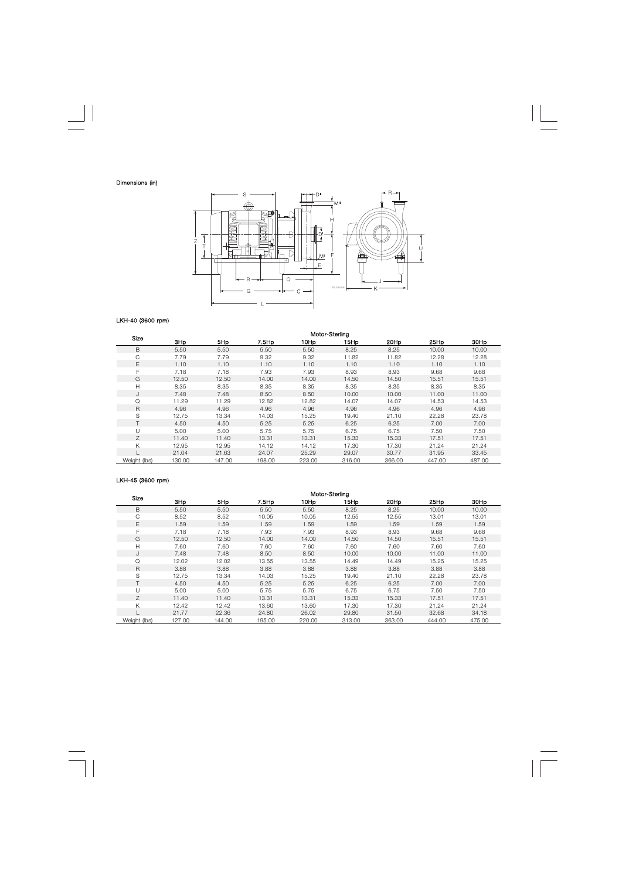

# LKH-40 (3600 rpm)

| Size         | Motor-Sterling |                 |        |        |        |        |        |        |  |  |  |
|--------------|----------------|-----------------|--------|--------|--------|--------|--------|--------|--|--|--|
|              | 3Hp            | 5H <sub>p</sub> | 7.5Hp  | 10Hp   | 15Hp   | 20Hp   | 25Hp   | 30Hp   |  |  |  |
| B            | 5.50           | 5.50            | 5.50   | 5.50   | 8.25   | 8.25   | 10.00  | 10.00  |  |  |  |
| С            | 7.79           | 7.79            | 9.32   | 9.32   | 11.82  | 11.82  | 12.28  | 12.28  |  |  |  |
| Е            | 1.10           | 1.10            | 1.10   | 1.10   | 1.10   | 1.10   | 1.10   | 1.10   |  |  |  |
| F            | 7.18           | 7.18            | 7.93   | 7.93   | 8.93   | 8.93   | 9.68   | 9.68   |  |  |  |
| G            | 12.50          | 12.50           | 14.00  | 14.00  | 14.50  | 14.50  | 15.51  | 15.51  |  |  |  |
| Н            | 8.35           | 8.35            | 8.35   | 8.35   | 8.35   | 8.35   | 8.35   | 8.35   |  |  |  |
| J            | 7.48           | 7.48            | 8.50   | 8.50   | 10.00  | 10.00  | 11.00  | 11.00  |  |  |  |
| Q            | 11.29          | 11.29           | 12.82  | 12.82  | 14.07  | 14.07  | 14.53  | 14.53  |  |  |  |
| R            | 4.96           | 4.96            | 4.96   | 4.96   | 4.96   | 4.96   | 4.96   | 4.96   |  |  |  |
| S            | 12.75          | 13.34           | 14.03  | 15.25  | 19.40  | 21.10  | 22.28  | 23.78  |  |  |  |
|              | 4.50           | 4.50            | 5.25   | 5.25   | 6.25   | 6.25   | 7.00   | 7.00   |  |  |  |
| U            | 5.00           | 5.00            | 5.75   | 5.75   | 6.75   | 6.75   | 7.50   | 7.50   |  |  |  |
| Z            | 11.40          | 11.40           | 13.31  | 13.31  | 15.33  | 15.33  | 17.51  | 17.51  |  |  |  |
| Κ            | 12.95          | 12.95           | 14.12  | 14.12  | 17.30  | 17.30  | 21.24  | 21.24  |  |  |  |
|              | 21.04          | 21.63           | 24.07  | 25.29  | 29.07  | 30.77  | 31.95  | 33.45  |  |  |  |
| Weight (lbs) | 130.00         | 147.00          | 198.00 | 223.00 | 316.00 | 366.00 | 447.00 | 487.00 |  |  |  |

## LKH-45 (3600 rpm)

| Size         |        | Motor-Sterling  |        |                  |                  |                  |        |        |  |  |  |
|--------------|--------|-----------------|--------|------------------|------------------|------------------|--------|--------|--|--|--|
|              | 3Hp    | 5H <sub>p</sub> | 7.5Hp  | 10H <sub>p</sub> | 15H <sub>p</sub> | 20H <sub>p</sub> | 25Hp   | 30Hp   |  |  |  |
| B            | 5.50   | 5.50            | 5.50   | 5.50             | 8.25             | 8.25             | 10.00  | 10.00  |  |  |  |
| С            | 8.52   | 8.52            | 10.05  | 10.05            | 12.55            | 12.55            | 13.01  | 13.01  |  |  |  |
| Е            | 1.59   | 1.59            | 1.59   | 1.59             | 1.59             | 1.59             | 1.59   | 1.59   |  |  |  |
| F            | 7.18   | 7.18            | 7.93   | 7.93             | 8.93             | 8.93             | 9.68   | 9.68   |  |  |  |
| G            | 12.50  | 12.50           | 14.00  | 14.00            | 14.50            | 14.50            | 15.51  | 15.51  |  |  |  |
| Н            | 7.60   | 7.60            | 7.60   | 7.60             | 7.60             | 7.60             | 7.60   | 7.60   |  |  |  |
|              | 7.48   | 7.48            | 8.50   | 8.50             | 10.00            | 10.00            | 11.00  | 11.00  |  |  |  |
| Q            | 12.02  | 12.02           | 13.55  | 13.55            | 14.49            | 14.49            | 15.25  | 15.25  |  |  |  |
| R            | 3.88   | 3.88            | 3.88   | 3.88             | 3.88             | 3.88             | 3.88   | 3.88   |  |  |  |
| S            | 12.75  | 13.34           | 14.03  | 15.25            | 19.40            | 21.10            | 22.28  | 23.78  |  |  |  |
|              | 4.50   | 4.50            | 5.25   | 5.25             | 6.25             | 6.25             | 7.00   | 7.00   |  |  |  |
|              | 5.00   | 5.00            | 5.75   | 5.75             | 6.75             | 6.75             | 7.50   | 7.50   |  |  |  |
| Ζ            | 11.40  | 11.40           | 13.31  | 13.31            | 15.33            | 15.33            | 17.51  | 17.51  |  |  |  |
| Κ            | 12.42  | 12.42           | 13.60  | 13.60            | 17.30            | 17.30            | 21.24  | 21.24  |  |  |  |
|              | 21.77  | 22.36           | 24.80  | 26.02            | 29.80            | 31.50            | 32.68  | 34.18  |  |  |  |
| Weight (lbs) | 127.00 | 144.00          | 195.00 | 220.00           | 313.00           | 363.00           | 444.00 | 475.00 |  |  |  |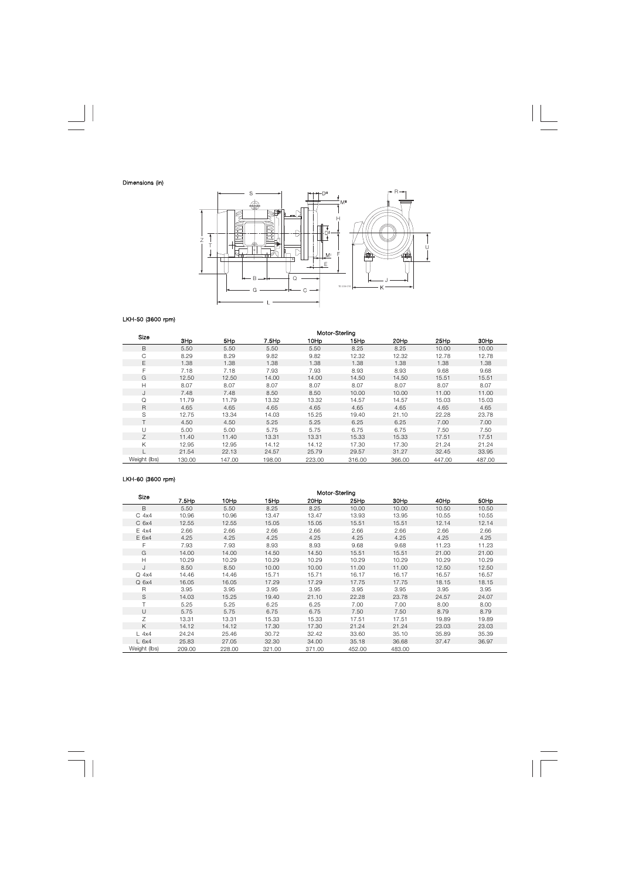

## LKH-50 (3600 rpm)

| Size         | Motor-Sterling |        |        |        |        |        |        |        |  |  |  |
|--------------|----------------|--------|--------|--------|--------|--------|--------|--------|--|--|--|
|              | 3Hp            | 5Hp    | 7.5Hp  | 10Hp   | 15Hp   | 20Hp   | 25Hp   | 30Hp   |  |  |  |
| B            | 5.50           | 5.50   | 5.50   | 5.50   | 8.25   | 8.25   | 10.00  | 10.00  |  |  |  |
| C            | 8.29           | 8.29   | 9.82   | 9.82   | 12.32  | 12.32  | 12.78  | 12.78  |  |  |  |
| Е            | 1.38           | 1.38   | 1.38   | 1.38   | 1.38   | 1.38   | 1.38   | 1.38   |  |  |  |
| F            | 7.18           | 7.18   | 7.93   | 7.93   | 8.93   | 8.93   | 9.68   | 9.68   |  |  |  |
| G            | 12.50          | 12.50  | 14.00  | 14.00  | 14.50  | 14.50  | 15.51  | 15.51  |  |  |  |
| Н            | 8.07           | 8.07   | 8.07   | 8.07   | 8.07   | 8.07   | 8.07   | 8.07   |  |  |  |
| J            | 7.48           | 7.48   | 8.50   | 8.50   | 10.00  | 10.00  | 11.00  | 11.00  |  |  |  |
| Q            | 11.79          | 11.79  | 13.32  | 13.32  | 14.57  | 14.57  | 15.03  | 15.03  |  |  |  |
| R            | 4.65           | 4.65   | 4.65   | 4.65   | 4.65   | 4.65   | 4.65   | 4.65   |  |  |  |
| S            | 12.75          | 13.34  | 14.03  | 15.25  | 19.40  | 21.10  | 22.28  | 23.78  |  |  |  |
|              | 4.50           | 4.50   | 5.25   | 5.25   | 6.25   | 6.25   | 7.00   | 7.00   |  |  |  |
| U            | 5.00           | 5.00   | 5.75   | 5.75   | 6.75   | 6.75   | 7.50   | 7.50   |  |  |  |
| Ζ            | 11.40          | 11.40  | 13.31  | 13.31  | 15.33  | 15.33  | 17.51  | 17.51  |  |  |  |
| K            | 12.95          | 12.95  | 14.12  | 14.12  | 17.30  | 17.30  | 21.24  | 21.24  |  |  |  |
|              | 21.54          | 22.13  | 24.57  | 25.79  | 29.57  | 31.27  | 32.45  | 33.95  |  |  |  |
| Weight (lbs) | 130.00         | 147.00 | 198.00 | 223.00 | 316.00 | 366.00 | 447.00 | 487.00 |  |  |  |

# LKH-60 (3600 rpm)

|                  | Motor-Sterling |        |        |        |                  |        |       |       |  |  |  |
|------------------|----------------|--------|--------|--------|------------------|--------|-------|-------|--|--|--|
| Size             | 7.5Hp          | 10Hp   | 15Hp   | 20Hp   | 25H <sub>p</sub> | 30Hp   | 40Hp  | 50Hp  |  |  |  |
| B                | 5.50           | 5.50   | 8.25   | 8.25   | 10.00            | 10.00  | 10.50 | 10.50 |  |  |  |
| $C$ 4x4          | 10.96          | 10.96  | 13.47  | 13.47  | 13.93            | 13.95  | 10.55 | 10.55 |  |  |  |
| C <sub>6x4</sub> | 12.55          | 12.55  | 15.05  | 15.05  | 15.51            | 15.51  | 12.14 | 12.14 |  |  |  |
| $E$ 4x4          | 2.66           | 2.66   | 2.66   | 2.66   | 2.66             | 2.66   | 2.66  | 2.66  |  |  |  |
| E 6x4            | 4.25           | 4.25   | 4.25   | 4.25   | 4.25             | 4.25   | 4.25  | 4.25  |  |  |  |
| F                | 7.93           | 7.93   | 8.93   | 8.93   | 9.68             | 9.68   | 11.23 | 11.23 |  |  |  |
| G                | 14.00          | 14.00  | 14.50  | 14.50  | 15.51            | 15.51  | 21.00 | 21.00 |  |  |  |
| Н                | 10.29          | 10.29  | 10.29  | 10.29  | 10.29            | 10.29  | 10.29 | 10.29 |  |  |  |
| J                | 8.50           | 8.50   | 10.00  | 10.00  | 11.00            | 11.00  | 12.50 | 12.50 |  |  |  |
| $Q$ 4x4          | 14.46          | 14.46  | 15.71  | 15.71  | 16.17            | 16.17  | 16.57 | 16.57 |  |  |  |
| $Q$ 6x4          | 16.05          | 16.05  | 17.29  | 17.29  | 17.75            | 17.75  | 18.15 | 18.15 |  |  |  |
| $\overline{R}$   | 3.95           | 3.95   | 3.95   | 3.95   | 3.95             | 3.95   | 3.95  | 3.95  |  |  |  |
| S                | 14.03          | 15.25  | 19.40  | 21.10  | 22.28            | 23.78  | 24.57 | 24.07 |  |  |  |
| Τ                | 5.25           | 5.25   | 6.25   | 6.25   | 7.00             | 7.00   | 8.00  | 8.00  |  |  |  |
| $\cup$           | 5.75           | 5.75   | 6.75   | 6.75   | 7.50             | 7.50   | 8.79  | 8.79  |  |  |  |
| Ζ                | 13.31          | 13.31  | 15.33  | 15.33  | 17.51            | 17.51  | 19.89 | 19.89 |  |  |  |
| Κ                | 14.12          | 14.12  | 17.30  | 17.30  | 21.24            | 21.24  | 23.03 | 23.03 |  |  |  |
| $L$ 4x4          | 24.24          | 25.46  | 30.72  | 32.42  | 33.60            | 35.10  | 35.89 | 35.39 |  |  |  |
| L <sub>6x4</sub> | 25.83          | 27.05  | 32.30  | 34.00  | 35.18            | 36.68  | 37.47 | 36.97 |  |  |  |
| Weight (lbs)     | 209.00         | 228.00 | 321.00 | 371.00 | 452.00           | 483.00 |       |       |  |  |  |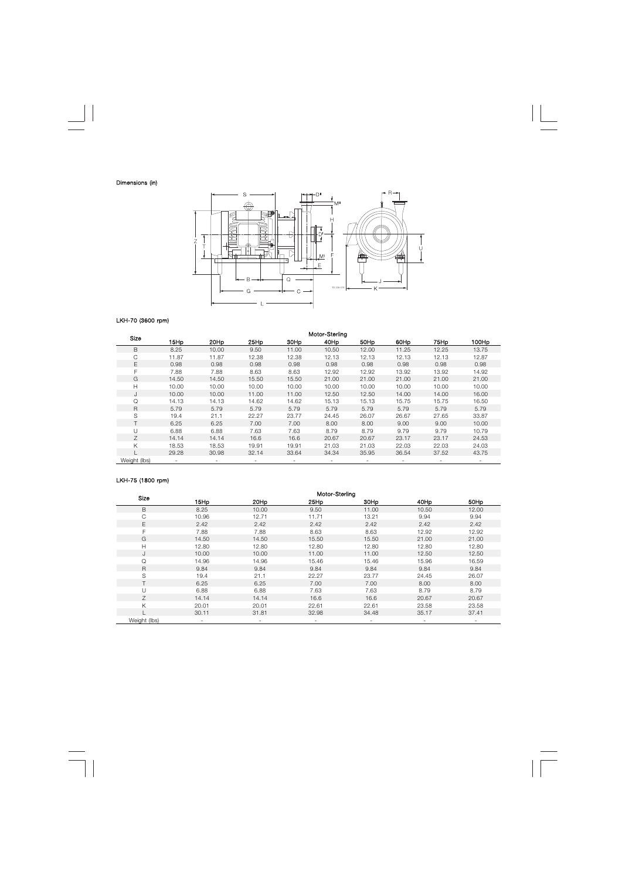

# LKH-70 (3600 rpm)

| Size         | Motor-Sterling |        |       |       |       |       |       |       |       |  |
|--------------|----------------|--------|-------|-------|-------|-------|-------|-------|-------|--|
|              | 15Hp           | 20Hp   | 25Hp  | 30Hp  | 40Hp  | 50Hp  | 60Hp  | 75Hp  | 100Hp |  |
| B            | 8.25           | 10.00  | 9.50  | 11.00 | 10.50 | 12.00 | 11.25 | 12.25 | 13.75 |  |
| С            | 11.87          | 11.87  | 12.38 | 12.38 | 12.13 | 12.13 | 12.13 | 12.13 | 12.87 |  |
| E            | 0.98           | 0.98   | 0.98  | 0.98  | 0.98  | 0.98  | 0.98  | 0.98  | 0.98  |  |
| F            | 7.88           | 7.88   | 8.63  | 8.63  | 12.92 | 12.92 | 13.92 | 13.92 | 14.92 |  |
| G            | 14.50          | 14.50  | 15.50 | 15.50 | 21.00 | 21.00 | 21.00 | 21.00 | 21.00 |  |
| н            | 10.00          | 10.00  | 10.00 | 10.00 | 10.00 | 10.00 | 10.00 | 10.00 | 10.00 |  |
| J            | 10.00          | 10.00  | 11.00 | 11.00 | 12.50 | 12.50 | 14.00 | 14.00 | 16.00 |  |
| Q            | 14.13          | 14.13  | 14.62 | 14.62 | 15.13 | 15.13 | 15.75 | 15.75 | 16.50 |  |
| $\mathsf{R}$ | 5.79           | 5.79   | 5.79  | 5.79  | 5.79  | 5.79  | 5.79  | 5.79  | 5.79  |  |
| S            | 19.4           | 21.1   | 22.27 | 23.77 | 24.45 | 26.07 | 26.67 | 27.65 | 33.87 |  |
|              | 6.25           | 6.25   | 7.00  | 7.00  | 8.00  | 8.00  | 9.00  | 9.00  | 10.00 |  |
| U            | 6.88           | 6.88   | 7.63  | 7.63  | 8.79  | 8.79  | 9.79  | 9.79  | 10.79 |  |
| Ζ            | 14.14          | 14.14  | 16.6  | 16.6  | 20.67 | 20.67 | 23.17 | 23.17 | 24.53 |  |
| Κ            | 18.53          | 18.53  | 19.91 | 19.91 | 21.03 | 21.03 | 22.03 | 22.03 | 24.03 |  |
|              | 29.28          | 30.98  | 32.14 | 33.64 | 34.34 | 35.95 | 36.54 | 37.52 | 43.75 |  |
| Weight (lbs) |                | $\sim$ |       | ۰     |       |       |       |       |       |  |

## LKH-75 (1800 rpm)

| <b>Size</b>  | Motor-Sterling           |       |       |       |       |       |  |  |  |  |
|--------------|--------------------------|-------|-------|-------|-------|-------|--|--|--|--|
|              | 15Hp                     | 20Hp  | 25Hp  | 30Hp  | 40Hp  | 50Hp  |  |  |  |  |
| B            | 8.25                     | 10.00 | 9.50  | 11.00 | 10.50 | 12.00 |  |  |  |  |
| C            | 10.96                    | 12.71 | 11.71 | 13.21 | 9.94  | 9.94  |  |  |  |  |
| E            | 2.42                     | 2.42  | 2.42  | 2.42  | 2.42  | 2.42  |  |  |  |  |
| F            | 7.88                     | 7.88  | 8.63  | 8.63  | 12.92 | 12.92 |  |  |  |  |
| G            | 14.50                    | 14.50 | 15.50 | 15.50 | 21.00 | 21.00 |  |  |  |  |
| H            | 12.80                    | 12.80 | 12.80 | 12.80 | 12.80 | 12.80 |  |  |  |  |
| J            | 10.00                    | 10.00 | 11.00 | 11.00 | 12.50 | 12.50 |  |  |  |  |
| Q            | 14.96                    | 14.96 | 15.46 | 15.46 | 15.96 | 16.59 |  |  |  |  |
| R            | 9.84                     | 9.84  | 9.84  | 9.84  | 9.84  | 9.84  |  |  |  |  |
| S            | 19.4                     | 21.1  | 22.27 | 23.77 | 24.45 | 26.07 |  |  |  |  |
|              | 6.25                     | 6.25  | 7.00  | 7.00  | 8.00  | 8.00  |  |  |  |  |
| Ū            | 6.88                     | 6.88  | 7.63  | 7.63  | 8.79  | 8.79  |  |  |  |  |
| 7            | 14.14                    | 14.14 | 16.6  | 16.6  | 20.67 | 20.67 |  |  |  |  |
| Κ            | 20.01                    | 20.01 | 22.61 | 22.61 | 23.58 | 23.58 |  |  |  |  |
|              | 30.11                    | 31.81 | 32.98 | 34.48 | 35.17 | 37.41 |  |  |  |  |
| Weight (lbs) | $\overline{\phantom{a}}$ |       |       |       |       |       |  |  |  |  |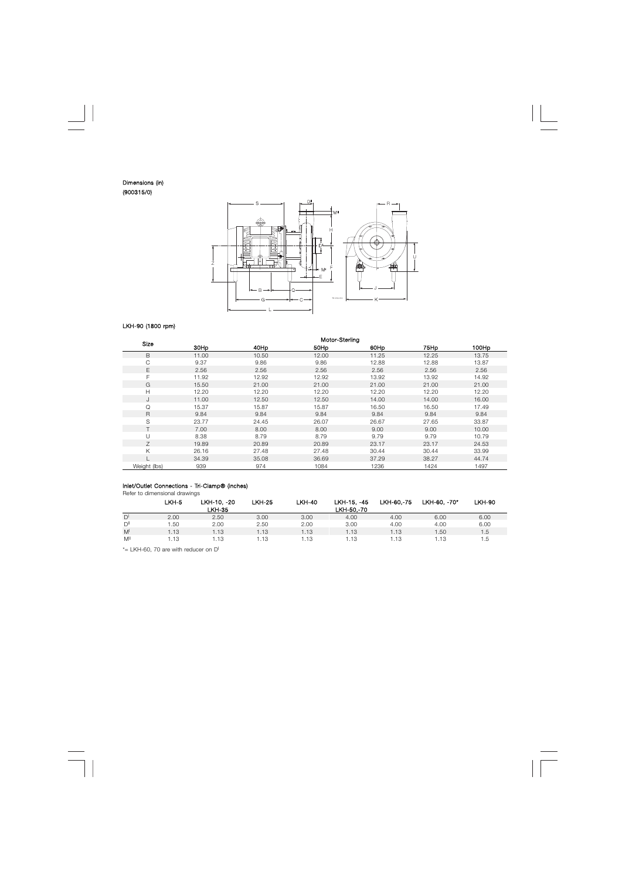#### Dimensions (in) (900315/0)



## LKH-90 (1800 rpm)

| Size         | Motor-Sterling |       |       |       |       |       |  |  |  |  |
|--------------|----------------|-------|-------|-------|-------|-------|--|--|--|--|
|              | 30Hp           | 40Hp  | 50Hp  | 60Hp  | 75Hp  | 100Hp |  |  |  |  |
| B            | 11.00          | 10.50 | 12.00 | 11.25 | 12.25 | 13.75 |  |  |  |  |
| С            | 9.37           | 9.86  | 9.86  | 12.88 | 12.88 | 13.87 |  |  |  |  |
| E            | 2.56           | 2.56  | 2.56  | 2.56  | 2.56  | 2.56  |  |  |  |  |
| F            | 11.92          | 12.92 | 12.92 | 13.92 | 13.92 | 14.92 |  |  |  |  |
| G            | 15.50          | 21.00 | 21.00 | 21.00 | 21.00 | 21.00 |  |  |  |  |
| Н            | 12.20          | 12.20 | 12.20 | 12.20 | 12.20 | 12.20 |  |  |  |  |
| J            | 11.00          | 12.50 | 12.50 | 14.00 | 14.00 | 16.00 |  |  |  |  |
| Q            | 15.37          | 15.87 | 15.87 | 16.50 | 16.50 | 17.49 |  |  |  |  |
| R            | 9.84           | 9.84  | 9.84  | 9.84  | 9.84  | 9.84  |  |  |  |  |
| S            | 23.77          | 24.45 | 26.07 | 26.67 | 27.65 | 33.87 |  |  |  |  |
|              | 7.00           | 8.00  | 8.00  | 9.00  | 9.00  | 10.00 |  |  |  |  |
| U            | 8.38           | 8.79  | 8.79  | 9.79  | 9.79  | 10.79 |  |  |  |  |
| Ζ            | 19.89          | 20.89 | 20.89 | 23.17 | 23.17 | 24.53 |  |  |  |  |
| Κ            | 26.16          | 27.48 | 27.48 | 30.44 | 30.44 | 33.99 |  |  |  |  |
|              | 34.39          | 35.08 | 36.69 | 37.29 | 38.27 | 44.74 |  |  |  |  |
| Weight (lbs) | 939            | 974   | 1084  | 1236  | 1424  | 1497  |  |  |  |  |

## Inlet/Outlet Connections - Tri-Clamp® (inches)

Refer to dimensional drawings

|                 | LKH-5 | LKH-10.-20    | <b>LKH-25</b> | <b>LKH-40</b> | LKH-15. -45 | LKH-60.-75 | LKH-60, -70* | LKH-90 |
|-----------------|-------|---------------|---------------|---------------|-------------|------------|--------------|--------|
|                 |       | <b>LKH-35</b> |               |               | LKH-50.-70  |            |              |        |
| $D^{\dagger}$   | 2.00  | 2.50          | 3.00          | 3.00          | 4.00        | 4.00       | 6.00         | 6.00   |
| $D^{\parallel}$ | .50   | 2.00          | 2.50          | 2.00          | 3.00        | 4.00       | 4.00         | 6.00   |
| M <sup>1</sup>  | 1.13  | 1.13          | .13           | 1.13          | 1.13        | 1.13       | .50          | 1.5    |
| M               | .13   | 1.13          | . 13          | 1.13          | 13          | . 13       | l.13         | d. I   |

\*= LKH-60, 70 are with reducer on D<sup>I</sup>